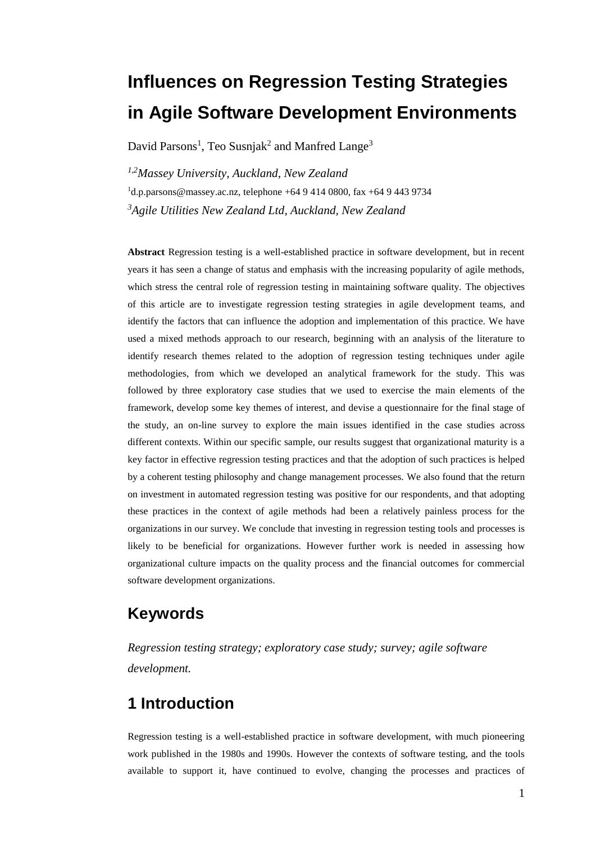# **Influences on Regression Testing Strategies in Agile Software Development Environments**

David Parsons<sup>1</sup>, Teo Susnjak<sup>2</sup> and Manfred Lange<sup>3</sup>

*1,2Massey University, Auckland, New Zealand* <sup>1</sup>d.p.parsons@massey.ac.nz, telephone +64 9 414 0800, fax +64 9 443 9734 *<sup>3</sup>Agile Utilities New Zealand Ltd, Auckland, New Zealand* 

**Abstract** Regression testing is a well-established practice in software development, but in recent years it has seen a change of status and emphasis with the increasing popularity of agile methods, which stress the central role of regression testing in maintaining software quality. The objectives of this article are to investigate regression testing strategies in agile development teams, and identify the factors that can influence the adoption and implementation of this practice. We have used a mixed methods approach to our research, beginning with an analysis of the literature to identify research themes related to the adoption of regression testing techniques under agile methodologies, from which we developed an analytical framework for the study. This was followed by three exploratory case studies that we used to exercise the main elements of the framework, develop some key themes of interest, and devise a questionnaire for the final stage of the study, an on-line survey to explore the main issues identified in the case studies across different contexts. Within our specific sample, our results suggest that organizational maturity is a key factor in effective regression testing practices and that the adoption of such practices is helped by a coherent testing philosophy and change management processes. We also found that the return on investment in automated regression testing was positive for our respondents, and that adopting these practices in the context of agile methods had been a relatively painless process for the organizations in our survey. We conclude that investing in regression testing tools and processes is likely to be beneficial for organizations. However further work is needed in assessing how organizational culture impacts on the quality process and the financial outcomes for commercial software development organizations.

### **Keywords**

*Regression testing strategy; exploratory case study; survey; agile software development.*

# **1 Introduction**

Regression testing is a well-established practice in software development, with much pioneering work published in the 1980s and 1990s. However the contexts of software testing, and the tools available to support it, have continued to evolve, changing the processes and practices of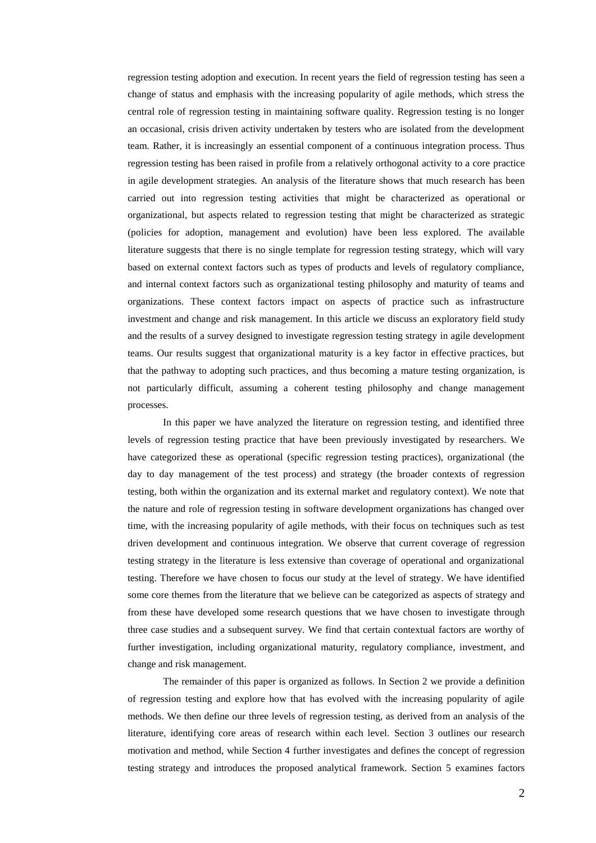regression testing adoption and execution. In recent years the field of regression testing has seen a change of status and emphasis with the increasing popularity of agile methods, which stress the central role of regression testing in maintaining software quality. Regression testing is no longer an occasional, crisis driven activity undertaken by testers who are isolated from the development team. Rather, it is increasingly an essential component of a continuous integration process. Thus regression testing has been raised in profile from a relatively orthogonal activity to a core practice in agile development strategies. An analysis of the literature shows that much research has been carried out into regression testing activities that might be characterized as operational or organizational, but aspects related to regression testing that might be characterized as strategic (policies for adoption, management and evolution) have been less explored. The available literature suggests that there is no single template for regression testing strategy, which will vary based on external context factors such as types of products and levels of regulatory compliance, and internal context factors such as organizational testing philosophy and maturity of teams and organizations. These context factors impact on aspects of practice such as infrastructure investment and change and risk management. In this article we discuss an exploratory field study and the results of a survey designed to investigate regression testing strategy in agile development teams. Our results suggest that organizational maturity is a key factor in effective practices, but that the pathway to adopting such practices, and thus becoming a mature testing organization, is not particularly difficult, assuming a coherent testing philosophy and change management processes.

In this paper we have analyzed the literature on regression testing, and identified three levels of regression testing practice that have been previously investigated by researchers. We have categorized these as operational (specific regression testing practices), organizational (the day to day management of the test process) and strategy (the broader contexts of regression testing, both within the organization and its external market and regulatory context). We note that the nature and role of regression testing in software development organizations has changed over time, with the increasing popularity of agile methods, with their focus on techniques such as test driven development and continuous integration. We observe that current coverage of regression testing strategy in the literature is less extensive than coverage of operational and organizational testing. Therefore we have chosen to focus our study at the level of strategy. We have identified some core themes from the literature that we believe can be categorized as aspects of strategy and from these have developed some research questions that we have chosen to investigate through three case studies and a subsequent survey. We find that certain contextual factors are worthy of further investigation, including organizational maturity, regulatory compliance, investment, and change and risk management.

The remainder of this paper is organized as follows. In Section 2 we provide a definition of regression testing and explore how that has evolved with the increasing popularity of agile methods. We then define our three levels of regression testing, as derived from an analysis of the literature, identifying core areas of research within each level. Section 3 outlines our research motivation and method, while Section 4 further investigates and defines the concept of regression testing strategy and introduces the proposed analytical framework. Section 5 examines factors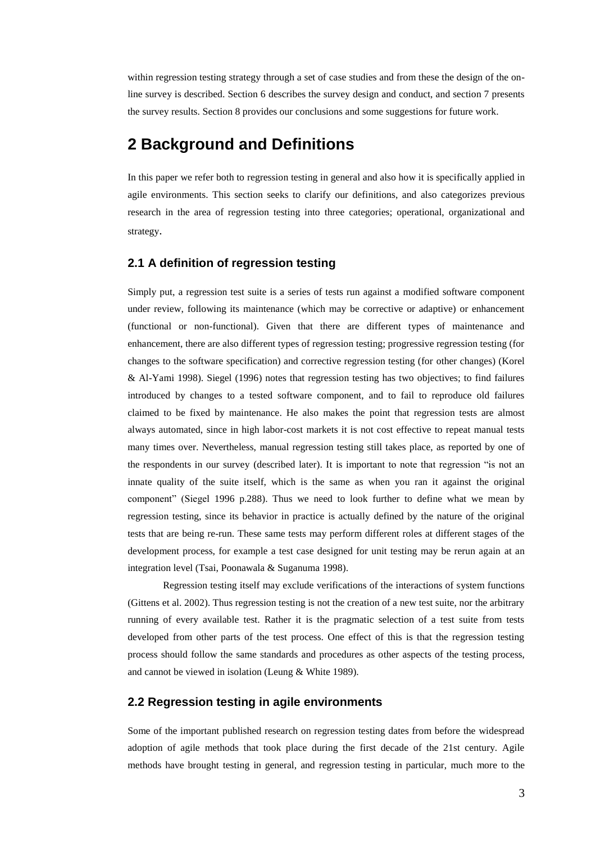within regression testing strategy through a set of case studies and from these the design of the online survey is described. Section 6 describes the survey design and conduct, and section 7 presents the survey results. Section 8 provides our conclusions and some suggestions for future work.

### **2 Background and Definitions**

In this paper we refer both to regression testing in general and also how it is specifically applied in agile environments. This section seeks to clarify our definitions, and also categorizes previous research in the area of regression testing into three categories; operational, organizational and strategy.

#### **2.1 A definition of regression testing**

Simply put, a regression test suite is a series of tests run against a modified software component under review, following its maintenance (which may be corrective or adaptive) or enhancement (functional or non-functional). Given that there are different types of maintenance and enhancement, there are also different types of regression testing; progressive regression testing (for changes to the software specification) and corrective regression testing (for other changes) (Korel & Al-Yami 1998). Siegel (1996) notes that regression testing has two objectives; to find failures introduced by changes to a tested software component, and to fail to reproduce old failures claimed to be fixed by maintenance. He also makes the point that regression tests are almost always automated, since in high labor-cost markets it is not cost effective to repeat manual tests many times over. Nevertheless, manual regression testing still takes place, as reported by one of the respondents in our survey (described later). It is important to note that regression "is not an innate quality of the suite itself, which is the same as when you ran it against the original component" (Siegel 1996 p.288). Thus we need to look further to define what we mean by regression testing, since its behavior in practice is actually defined by the nature of the original tests that are being re-run. These same tests may perform different roles at different stages of the development process, for example a test case designed for unit testing may be rerun again at an integration level (Tsai, Poonawala & Suganuma 1998).

Regression testing itself may exclude verifications of the interactions of system functions (Gittens et al. 2002). Thus regression testing is not the creation of a new test suite, nor the arbitrary running of every available test. Rather it is the pragmatic selection of a test suite from tests developed from other parts of the test process. One effect of this is that the regression testing process should follow the same standards and procedures as other aspects of the testing process, and cannot be viewed in isolation (Leung & White 1989).

### **2.2 Regression testing in agile environments**

Some of the important published research on regression testing dates from before the widespread adoption of agile methods that took place during the first decade of the 21st century. Agile methods have brought testing in general, and regression testing in particular, much more to the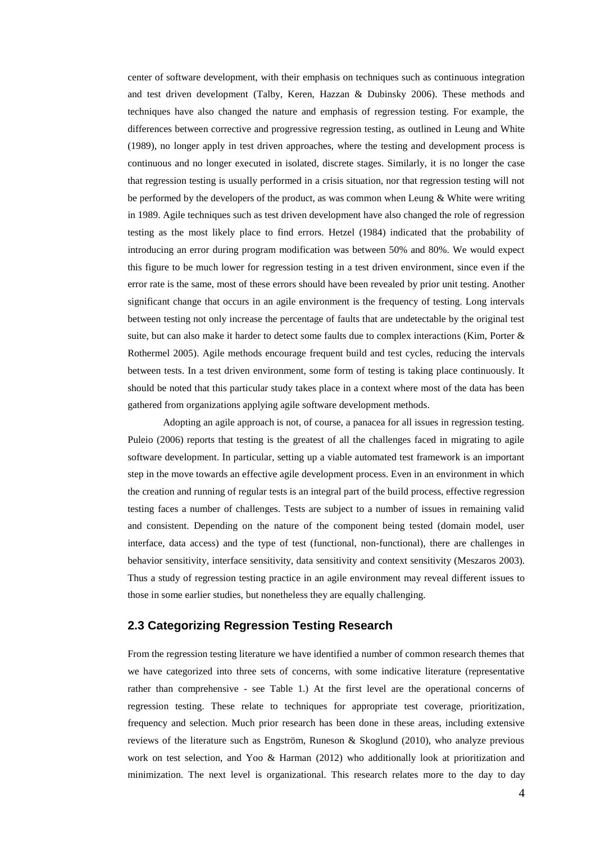center of software development, with their emphasis on techniques such as continuous integration and test driven development (Talby, Keren, Hazzan & Dubinsky 2006). These methods and techniques have also changed the nature and emphasis of regression testing. For example, the differences between corrective and progressive regression testing, as outlined in Leung and White (1989), no longer apply in test driven approaches, where the testing and development process is continuous and no longer executed in isolated, discrete stages. Similarly, it is no longer the case that regression testing is usually performed in a crisis situation, nor that regression testing will not be performed by the developers of the product, as was common when Leung & White were writing in 1989. Agile techniques such as test driven development have also changed the role of regression testing as the most likely place to find errors. Hetzel (1984) indicated that the probability of introducing an error during program modification was between 50% and 80%. We would expect this figure to be much lower for regression testing in a test driven environment, since even if the error rate is the same, most of these errors should have been revealed by prior unit testing. Another significant change that occurs in an agile environment is the frequency of testing. Long intervals between testing not only increase the percentage of faults that are undetectable by the original test suite, but can also make it harder to detect some faults due to complex interactions (Kim, Porter & Rothermel 2005). Agile methods encourage frequent build and test cycles, reducing the intervals between tests. In a test driven environment, some form of testing is taking place continuously. It should be noted that this particular study takes place in a context where most of the data has been gathered from organizations applying agile software development methods.

Adopting an agile approach is not, of course, a panacea for all issues in regression testing. Puleio (2006) reports that testing is the greatest of all the challenges faced in migrating to agile software development. In particular, setting up a viable automated test framework is an important step in the move towards an effective agile development process. Even in an environment in which the creation and running of regular tests is an integral part of the build process, effective regression testing faces a number of challenges. Tests are subject to a number of issues in remaining valid and consistent. Depending on the nature of the component being tested (domain model, user interface, data access) and the type of test (functional, non-functional), there are challenges in behavior sensitivity, interface sensitivity, data sensitivity and context sensitivity (Meszaros 2003). Thus a study of regression testing practice in an agile environment may reveal different issues to those in some earlier studies, but nonetheless they are equally challenging.

#### **2.3 Categorizing Regression Testing Research**

From the regression testing literature we have identified a number of common research themes that we have categorized into three sets of concerns, with some indicative literature (representative rather than comprehensive - see Table 1.) At the first level are the operational concerns of regression testing. These relate to techniques for appropriate test coverage, prioritization, frequency and selection. Much prior research has been done in these areas, including extensive reviews of the literature such as Engström, Runeson & Skoglund (2010), who analyze previous work on test selection, and Yoo & Harman (2012) who additionally look at prioritization and minimization. The next level is organizational. This research relates more to the day to day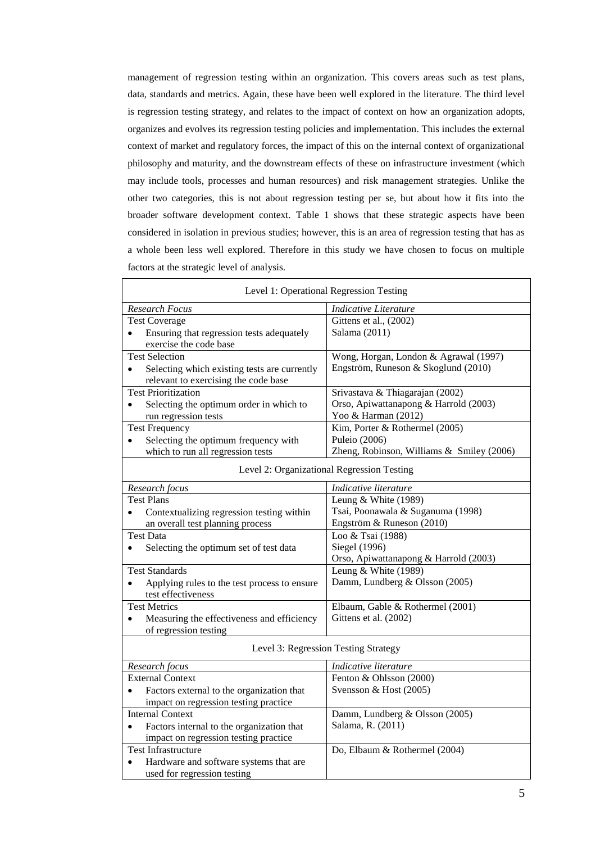management of regression testing within an organization. This covers areas such as test plans, data, standards and metrics. Again, these have been well explored in the literature. The third level is regression testing strategy, and relates to the impact of context on how an organization adopts, organizes and evolves its regression testing policies and implementation. This includes the external context of market and regulatory forces, the impact of this on the internal context of organizational philosophy and maturity, and the downstream effects of these on infrastructure investment (which may include tools, processes and human resources) and risk management strategies. Unlike the other two categories, this is not about regression testing per se, but about how it fits into the broader software development context. Table 1 shows that these strategic aspects have been considered in isolation in previous studies; however, this is an area of regression testing that has as a whole been less well explored. Therefore in this study we have chosen to focus on multiple factors at the strategic level of analysis.

| Level 1: Operational Regression Testing                                                           |                                            |  |  |  |  |
|---------------------------------------------------------------------------------------------------|--------------------------------------------|--|--|--|--|
| Research Focus                                                                                    | <b>Indicative Literature</b>               |  |  |  |  |
| <b>Test Coverage</b>                                                                              | Gittens et al., (2002)                     |  |  |  |  |
| Ensuring that regression tests adequately<br>$\bullet$                                            | Salama (2011)                              |  |  |  |  |
| exercise the code base                                                                            |                                            |  |  |  |  |
| <b>Test Selection</b>                                                                             | Wong, Horgan, London & Agrawal (1997)      |  |  |  |  |
| Selecting which existing tests are currently<br>$\bullet$<br>relevant to exercising the code base | Engström, Runeson & Skoglund (2010)        |  |  |  |  |
| <b>Test Prioritization</b>                                                                        | Srivastava & Thiagarajan (2002)            |  |  |  |  |
| Selecting the optimum order in which to<br>$\bullet$                                              | Orso, Apiwattanapong & Harrold (2003)      |  |  |  |  |
| run regression tests                                                                              | Yoo & Harman (2012)                        |  |  |  |  |
| <b>Test Frequency</b>                                                                             | Kim, Porter & Rothermel (2005)             |  |  |  |  |
| Selecting the optimum frequency with<br>$\bullet$                                                 | Puleio (2006)                              |  |  |  |  |
| which to run all regression tests                                                                 | Zheng, Robinson, Williams & Smiley (2006)  |  |  |  |  |
|                                                                                                   | Level 2: Organizational Regression Testing |  |  |  |  |
| Research focus                                                                                    | Indicative literature                      |  |  |  |  |
| <b>Test Plans</b>                                                                                 | Leung & White (1989)                       |  |  |  |  |
| Contextualizing regression testing within<br>$\bullet$                                            | Tsai, Poonawala & Suganuma (1998)          |  |  |  |  |
| an overall test planning process                                                                  | Engström & Runeson (2010)                  |  |  |  |  |
| <b>Test Data</b>                                                                                  | Loo & Tsai (1988)                          |  |  |  |  |
| Selecting the optimum set of test data                                                            | Siegel (1996)                              |  |  |  |  |
|                                                                                                   | Orso, Apiwattanapong & Harrold (2003)      |  |  |  |  |
| <b>Test Standards</b>                                                                             | Leung & White (1989)                       |  |  |  |  |
| Applying rules to the test process to ensure<br>$\bullet$<br>test effectiveness                   | Damm, Lundberg & Olsson (2005)             |  |  |  |  |
| <b>Test Metrics</b>                                                                               | Elbaum, Gable & Rothermel (2001)           |  |  |  |  |
| Measuring the effectiveness and efficiency<br>$\bullet$<br>of regression testing                  | Gittens et al. (2002)                      |  |  |  |  |
|                                                                                                   | Level 3: Regression Testing Strategy       |  |  |  |  |
| Research focus                                                                                    | Indicative literature                      |  |  |  |  |
| <b>External Context</b>                                                                           | Fenton & Ohlsson (2000)                    |  |  |  |  |
| Factors external to the organization that<br>$\bullet$                                            | Svensson & Host (2005)                     |  |  |  |  |
| impact on regression testing practice                                                             |                                            |  |  |  |  |
| <b>Internal Context</b>                                                                           | Damm, Lundberg & Olsson (2005)             |  |  |  |  |
| Factors internal to the organization that                                                         | Salama, R. (2011)                          |  |  |  |  |
| impact on regression testing practice                                                             |                                            |  |  |  |  |
| <b>Test Infrastructure</b>                                                                        | Do, Elbaum & Rothermel (2004)              |  |  |  |  |
| Hardware and software systems that are<br>$\bullet$                                               |                                            |  |  |  |  |
| used for regression testing                                                                       |                                            |  |  |  |  |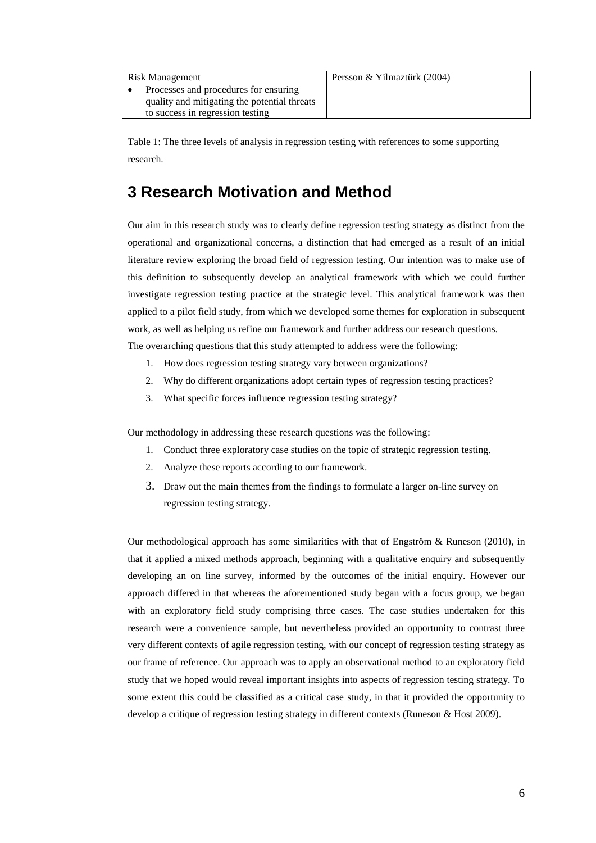| Risk Management                              | Persson & Yilmaztün |
|----------------------------------------------|---------------------|
| Processes and procedures for ensuring        |                     |
| quality and mitigating the potential threats |                     |
| to success in regression testing             |                     |

Table 1: The three levels of analysis in regression testing with references to some supporting research.

# **3 Research Motivation and Method**

Our aim in this research study was to clearly define regression testing strategy as distinct from the operational and organizational concerns, a distinction that had emerged as a result of an initial literature review exploring the broad field of regression testing. Our intention was to make use of this definition to subsequently develop an analytical framework with which we could further investigate regression testing practice at the strategic level. This analytical framework was then applied to a pilot field study, from which we developed some themes for exploration in subsequent work, as well as helping us refine our framework and further address our research questions. The overarching questions that this study attempted to address were the following:

- 1. How does regression testing strategy vary between organizations?
- 2. Why do different organizations adopt certain types of regression testing practices?
- 3. What specific forces influence regression testing strategy?

Our methodology in addressing these research questions was the following:

- 1. Conduct three exploratory case studies on the topic of strategic regression testing.
- 2. Analyze these reports according to our framework.
- 3. Draw out the main themes from the findings to formulate a larger on-line survey on regression testing strategy.

Our methodological approach has some similarities with that of Engström & Runeson (2010), in that it applied a mixed methods approach, beginning with a qualitative enquiry and subsequently developing an on line survey, informed by the outcomes of the initial enquiry. However our approach differed in that whereas the aforementioned study began with a focus group, we began with an exploratory field study comprising three cases. The case studies undertaken for this research were a convenience sample, but nevertheless provided an opportunity to contrast three very different contexts of agile regression testing, with our concept of regression testing strategy as our frame of reference. Our approach was to apply an observational method to an exploratory field study that we hoped would reveal important insights into aspects of regression testing strategy. To some extent this could be classified as a critical case study, in that it provided the opportunity to develop a critique of regression testing strategy in different contexts (Runeson & Host 2009).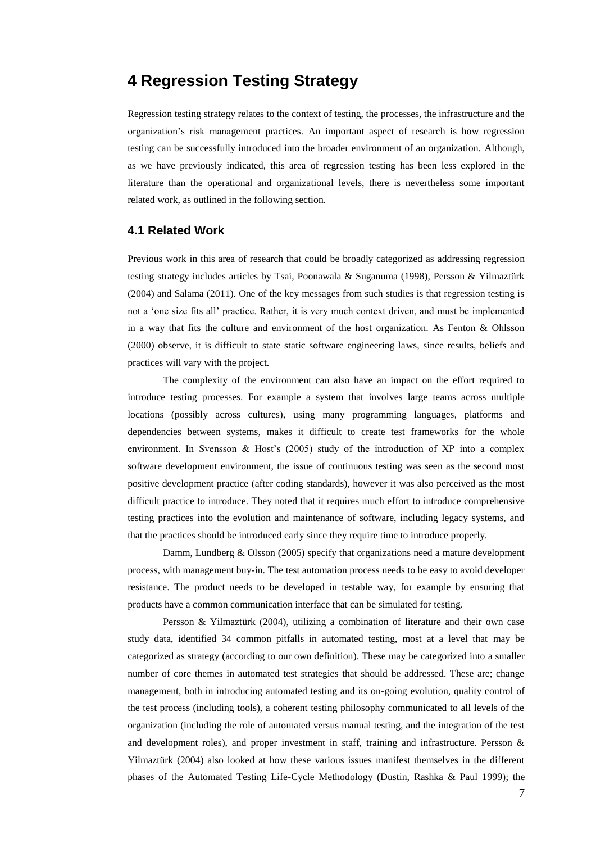### **4 Regression Testing Strategy**

Regression testing strategy relates to the context of testing, the processes, the infrastructure and the organization's risk management practices. An important aspect of research is how regression testing can be successfully introduced into the broader environment of an organization. Although, as we have previously indicated, this area of regression testing has been less explored in the literature than the operational and organizational levels, there is nevertheless some important related work, as outlined in the following section.

#### **4.1 Related Work**

Previous work in this area of research that could be broadly categorized as addressing regression testing strategy includes articles by Tsai, Poonawala & Suganuma (1998), Persson & Yilmaztürk (2004) and Salama (2011). One of the key messages from such studies is that regression testing is not a 'one size fits all' practice. Rather, it is very much context driven, and must be implemented in a way that fits the culture and environment of the host organization. As Fenton & Ohlsson (2000) observe, it is difficult to state static software engineering laws, since results, beliefs and practices will vary with the project.

The complexity of the environment can also have an impact on the effort required to introduce testing processes. For example a system that involves large teams across multiple locations (possibly across cultures), using many programming languages, platforms and dependencies between systems, makes it difficult to create test frameworks for the whole environment. In Svensson & Host's (2005) study of the introduction of XP into a complex software development environment, the issue of continuous testing was seen as the second most positive development practice (after coding standards), however it was also perceived as the most difficult practice to introduce. They noted that it requires much effort to introduce comprehensive testing practices into the evolution and maintenance of software, including legacy systems, and that the practices should be introduced early since they require time to introduce properly.

Damm, Lundberg & Olsson (2005) specify that organizations need a mature development process, with management buy-in. The test automation process needs to be easy to avoid developer resistance. The product needs to be developed in testable way, for example by ensuring that products have a common communication interface that can be simulated for testing.

Persson & Yilmaztürk (2004), utilizing a combination of literature and their own case study data, identified 34 common pitfalls in automated testing, most at a level that may be categorized as strategy (according to our own definition). These may be categorized into a smaller number of core themes in automated test strategies that should be addressed. These are; change management, both in introducing automated testing and its on-going evolution, quality control of the test process (including tools), a coherent testing philosophy communicated to all levels of the organization (including the role of automated versus manual testing, and the integration of the test and development roles), and proper investment in staff, training and infrastructure. Persson & Yilmaztürk (2004) also looked at how these various issues manifest themselves in the different phases of the Automated Testing Life-Cycle Methodology (Dustin, Rashka & Paul 1999); the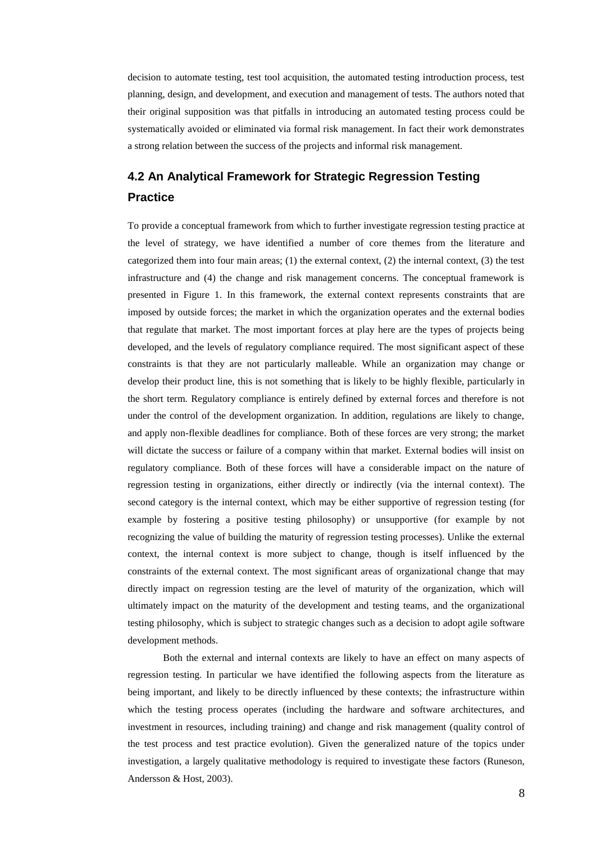decision to automate testing, test tool acquisition, the automated testing introduction process, test planning, design, and development, and execution and management of tests. The authors noted that their original supposition was that pitfalls in introducing an automated testing process could be systematically avoided or eliminated via formal risk management. In fact their work demonstrates a strong relation between the success of the projects and informal risk management.

### **4.2 An Analytical Framework for Strategic Regression Testing Practice**

To provide a conceptual framework from which to further investigate regression testing practice at the level of strategy, we have identified a number of core themes from the literature and categorized them into four main areas; (1) the external context, (2) the internal context, (3) the test infrastructure and (4) the change and risk management concerns. The conceptual framework is presented in Figure 1. In this framework, the external context represents constraints that are imposed by outside forces; the market in which the organization operates and the external bodies that regulate that market. The most important forces at play here are the types of projects being developed, and the levels of regulatory compliance required. The most significant aspect of these constraints is that they are not particularly malleable. While an organization may change or develop their product line, this is not something that is likely to be highly flexible, particularly in the short term. Regulatory compliance is entirely defined by external forces and therefore is not under the control of the development organization. In addition, regulations are likely to change, and apply non-flexible deadlines for compliance. Both of these forces are very strong; the market will dictate the success or failure of a company within that market. External bodies will insist on regulatory compliance. Both of these forces will have a considerable impact on the nature of regression testing in organizations, either directly or indirectly (via the internal context). The second category is the internal context, which may be either supportive of regression testing (for example by fostering a positive testing philosophy) or unsupportive (for example by not recognizing the value of building the maturity of regression testing processes). Unlike the external context, the internal context is more subject to change, though is itself influenced by the constraints of the external context. The most significant areas of organizational change that may directly impact on regression testing are the level of maturity of the organization, which will ultimately impact on the maturity of the development and testing teams, and the organizational testing philosophy, which is subject to strategic changes such as a decision to adopt agile software development methods.

Both the external and internal contexts are likely to have an effect on many aspects of regression testing. In particular we have identified the following aspects from the literature as being important, and likely to be directly influenced by these contexts; the infrastructure within which the testing process operates (including the hardware and software architectures, and investment in resources, including training) and change and risk management (quality control of the test process and test practice evolution). Given the generalized nature of the topics under investigation, a largely qualitative methodology is required to investigate these factors (Runeson, Andersson & Host, 2003).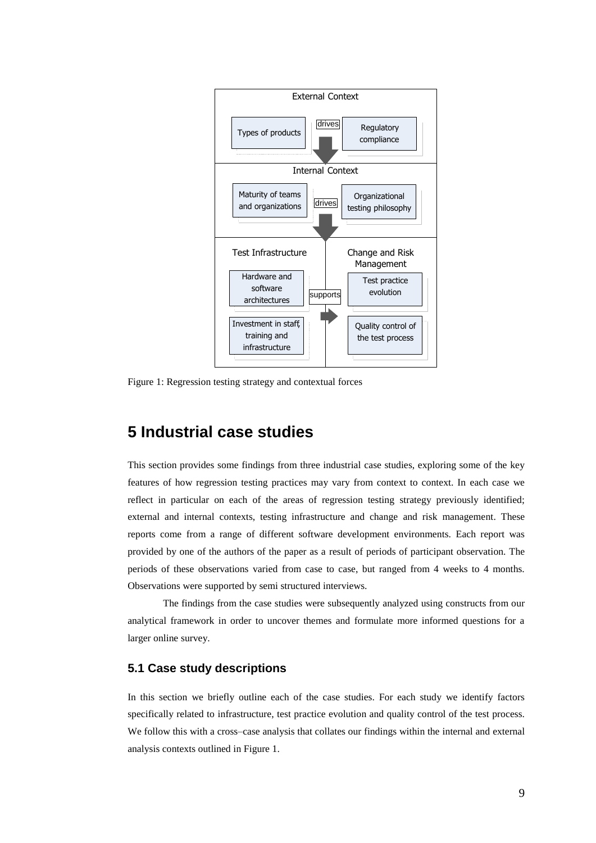

Figure 1: Regression testing strategy and contextual forces

### **5 Industrial case studies**

This section provides some findings from three industrial case studies, exploring some of the key features of how regression testing practices may vary from context to context. In each case we reflect in particular on each of the areas of regression testing strategy previously identified; external and internal contexts, testing infrastructure and change and risk management. These reports come from a range of different software development environments. Each report was provided by one of the authors of the paper as a result of periods of participant observation. The periods of these observations varied from case to case, but ranged from 4 weeks to 4 months. Observations were supported by semi structured interviews.

The findings from the case studies were subsequently analyzed using constructs from our analytical framework in order to uncover themes and formulate more informed questions for a larger online survey.

### **5.1 Case study descriptions**

In this section we briefly outline each of the case studies. For each study we identify factors specifically related to infrastructure, test practice evolution and quality control of the test process. We follow this with a cross–case analysis that collates our findings within the internal and external analysis contexts outlined in Figure 1.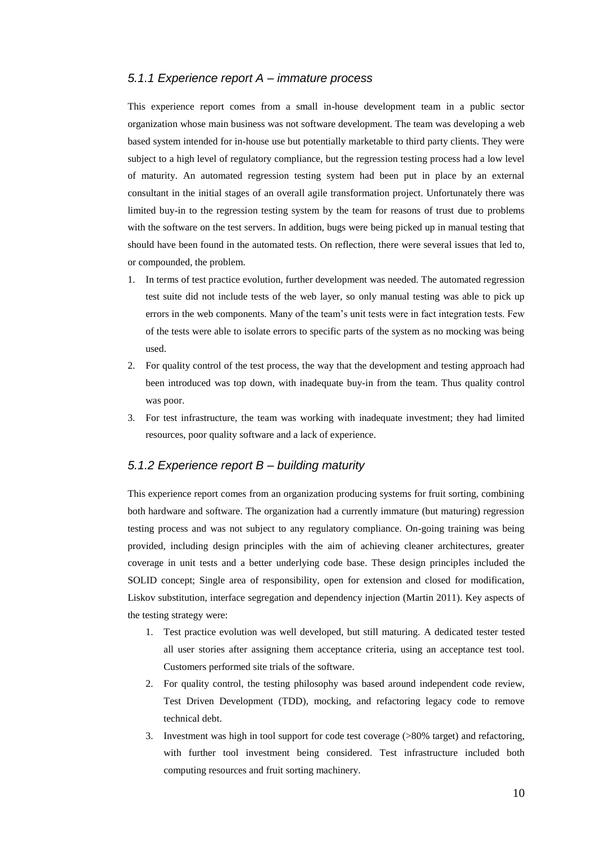#### *5.1.1 Experience report A – immature process*

This experience report comes from a small in-house development team in a public sector organization whose main business was not software development. The team was developing a web based system intended for in-house use but potentially marketable to third party clients. They were subject to a high level of regulatory compliance, but the regression testing process had a low level of maturity. An automated regression testing system had been put in place by an external consultant in the initial stages of an overall agile transformation project. Unfortunately there was limited buy-in to the regression testing system by the team for reasons of trust due to problems with the software on the test servers. In addition, bugs were being picked up in manual testing that should have been found in the automated tests. On reflection, there were several issues that led to, or compounded, the problem.

- 1. In terms of test practice evolution, further development was needed. The automated regression test suite did not include tests of the web layer, so only manual testing was able to pick up errors in the web components. Many of the team's unit tests were in fact integration tests. Few of the tests were able to isolate errors to specific parts of the system as no mocking was being used.
- 2. For quality control of the test process, the way that the development and testing approach had been introduced was top down, with inadequate buy-in from the team. Thus quality control was poor.
- 3. For test infrastructure, the team was working with inadequate investment; they had limited resources, poor quality software and a lack of experience.

#### *5.1.2 Experience report B – building maturity*

This experience report comes from an organization producing systems for fruit sorting, combining both hardware and software. The organization had a currently immature (but maturing) regression testing process and was not subject to any regulatory compliance. On-going training was being provided, including design principles with the aim of achieving cleaner architectures, greater coverage in unit tests and a better underlying code base. These design principles included the SOLID concept; Single area of responsibility, open for extension and closed for modification, Liskov substitution, interface segregation and dependency injection (Martin 2011). Key aspects of the testing strategy were:

- 1. Test practice evolution was well developed, but still maturing. A dedicated tester tested all user stories after assigning them acceptance criteria, using an acceptance test tool. Customers performed site trials of the software.
- 2. For quality control, the testing philosophy was based around independent code review, Test Driven Development (TDD), mocking, and refactoring legacy code to remove technical debt.
- 3. Investment was high in tool support for code test coverage (>80% target) and refactoring, with further tool investment being considered. Test infrastructure included both computing resources and fruit sorting machinery.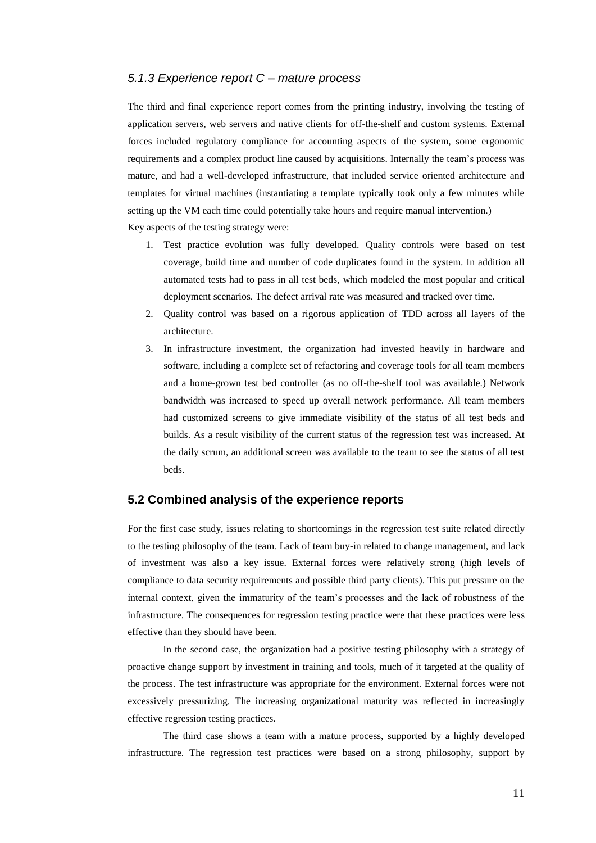#### *5.1.3 Experience report C – mature process*

The third and final experience report comes from the printing industry, involving the testing of application servers, web servers and native clients for off-the-shelf and custom systems. External forces included regulatory compliance for accounting aspects of the system, some ergonomic requirements and a complex product line caused by acquisitions. Internally the team's process was mature, and had a well-developed infrastructure, that included service oriented architecture and templates for virtual machines (instantiating a template typically took only a few minutes while setting up the VM each time could potentially take hours and require manual intervention.) Key aspects of the testing strategy were:

- 1. Test practice evolution was fully developed. Quality controls were based on test coverage, build time and number of code duplicates found in the system. In addition all automated tests had to pass in all test beds, which modeled the most popular and critical deployment scenarios. The defect arrival rate was measured and tracked over time.
- 2. Quality control was based on a rigorous application of TDD across all layers of the architecture.
- 3. In infrastructure investment, the organization had invested heavily in hardware and software, including a complete set of refactoring and coverage tools for all team members and a home-grown test bed controller (as no off-the-shelf tool was available.) Network bandwidth was increased to speed up overall network performance. All team members had customized screens to give immediate visibility of the status of all test beds and builds. As a result visibility of the current status of the regression test was increased. At the daily scrum, an additional screen was available to the team to see the status of all test beds.

#### **5.2 Combined analysis of the experience reports**

For the first case study, issues relating to shortcomings in the regression test suite related directly to the testing philosophy of the team. Lack of team buy-in related to change management, and lack of investment was also a key issue. External forces were relatively strong (high levels of compliance to data security requirements and possible third party clients). This put pressure on the internal context, given the immaturity of the team's processes and the lack of robustness of the infrastructure. The consequences for regression testing practice were that these practices were less effective than they should have been.

In the second case, the organization had a positive testing philosophy with a strategy of proactive change support by investment in training and tools, much of it targeted at the quality of the process. The test infrastructure was appropriate for the environment. External forces were not excessively pressurizing. The increasing organizational maturity was reflected in increasingly effective regression testing practices.

The third case shows a team with a mature process, supported by a highly developed infrastructure. The regression test practices were based on a strong philosophy, support by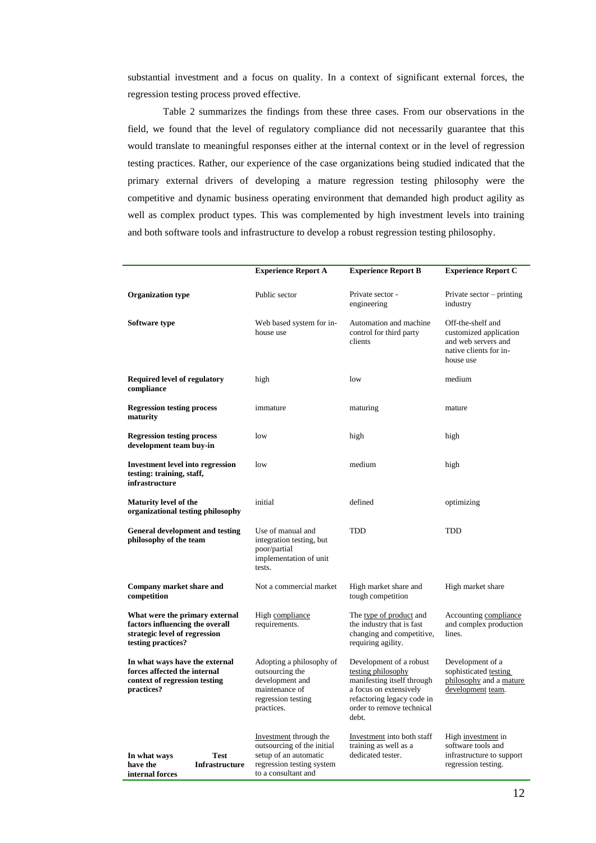substantial investment and a focus on quality. In a context of significant external forces, the regression testing process proved effective.

Table 2 summarizes the findings from these three cases. From our observations in the field, we found that the level of regulatory compliance did not necessarily guarantee that this would translate to meaningful responses either at the internal context or in the level of regression testing practices. Rather, our experience of the case organizations being studied indicated that the primary external drivers of developing a mature regression testing philosophy were the competitive and dynamic business operating environment that demanded high product agility as well as complex product types. This was complemented by high investment levels into training and both software tools and infrastructure to develop a robust regression testing philosophy.

|                                                                                                                          | <b>Experience Report A</b>                                                                                                        | <b>Experience Report B</b>                                                                                                                                                | <b>Experience Report C</b>                                                                                |  |
|--------------------------------------------------------------------------------------------------------------------------|-----------------------------------------------------------------------------------------------------------------------------------|---------------------------------------------------------------------------------------------------------------------------------------------------------------------------|-----------------------------------------------------------------------------------------------------------|--|
| <b>Organization type</b>                                                                                                 | Public sector                                                                                                                     | Private sector -<br>engineering                                                                                                                                           | Private sector $-$ printing<br>industry                                                                   |  |
| Software type                                                                                                            | Web based system for in-<br>house use                                                                                             | Automation and machine<br>control for third party<br>clients                                                                                                              | Off-the-shelf and<br>customized application<br>and web servers and<br>native clients for in-<br>house use |  |
| <b>Required level of regulatory</b><br>compliance                                                                        | high                                                                                                                              | low                                                                                                                                                                       | medium                                                                                                    |  |
| <b>Regression testing process</b><br>maturity                                                                            | immature                                                                                                                          | maturing                                                                                                                                                                  | mature                                                                                                    |  |
| <b>Regression testing process</b><br>development team buy-in                                                             | low                                                                                                                               | high                                                                                                                                                                      | high                                                                                                      |  |
| <b>Investment level into regression</b><br>testing: training, staff,<br>infrastructure                                   | low                                                                                                                               | medium                                                                                                                                                                    | high                                                                                                      |  |
| <b>Maturity level of the</b><br>organizational testing philosophy                                                        | initial                                                                                                                           | defined                                                                                                                                                                   | optimizing                                                                                                |  |
| <b>General development and testing</b><br>philosophy of the team                                                         | Use of manual and<br>integration testing, but<br>poor/partial<br>implementation of unit<br>tests.                                 | <b>TDD</b>                                                                                                                                                                | <b>TDD</b>                                                                                                |  |
| Company market share and<br>competition                                                                                  | Not a commercial market                                                                                                           | High market share and<br>tough competition                                                                                                                                | High market share                                                                                         |  |
| What were the primary external<br>factors influencing the overall<br>strategic level of regression<br>testing practices? | High compliance<br>requirements.                                                                                                  | The type of product and<br>the industry that is fast<br>changing and competitive,<br>requiring agility.                                                                   | Accounting compliance<br>and complex production<br>lines.                                                 |  |
| In what ways have the external<br>forces affected the internal<br>context of regression testing<br>practices?            | Adopting a philosophy of<br>outsourcing the<br>development and<br>maintenance of<br>regression testing<br>practices.              | Development of a robust<br>testing philosophy<br>manifesting itself through<br>a focus on extensively<br>refactoring legacy code in<br>order to remove technical<br>debt. | Development of a<br>sophisticated testing<br>philosophy and a mature<br>development team.                 |  |
| <b>Test</b><br>In what ways<br>have the<br><b>Infrastructure</b><br>internal forces                                      | Investment through the<br>outsourcing of the initial<br>setup of an automatic<br>regression testing system<br>to a consultant and | Investment into both staff<br>training as well as a<br>dedicated tester.                                                                                                  | High investment in<br>software tools and<br>infrastructure to support<br>regression testing.              |  |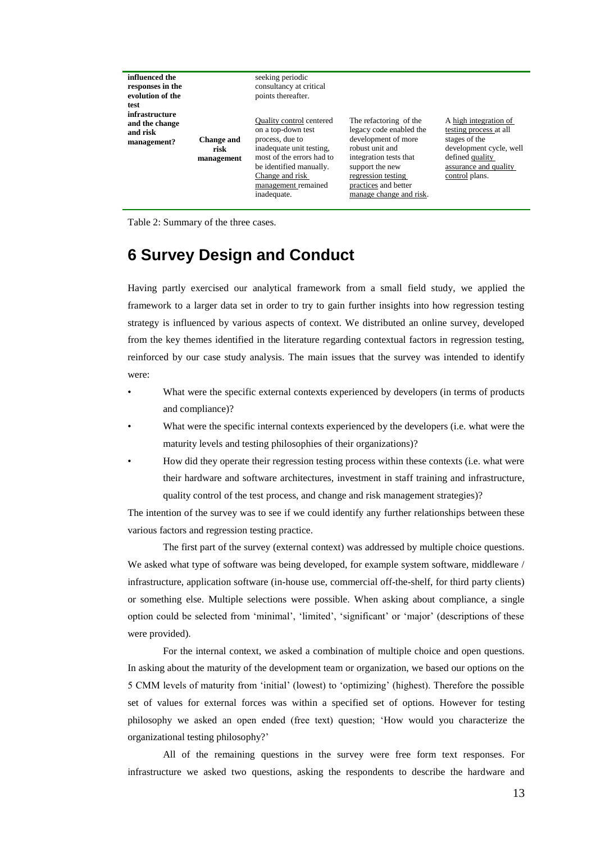| influenced the<br>responses in the<br>evolution of the<br>test |                                         | seeking periodic<br>consultancy at critical<br>points thereafter.                                                                                                                                                     |                                                                                                                                                                                                                   |                                                                                                                                                           |
|----------------------------------------------------------------|-----------------------------------------|-----------------------------------------------------------------------------------------------------------------------------------------------------------------------------------------------------------------------|-------------------------------------------------------------------------------------------------------------------------------------------------------------------------------------------------------------------|-----------------------------------------------------------------------------------------------------------------------------------------------------------|
| infrastructure<br>and the change<br>and risk<br>management?    | <b>Change and</b><br>risk<br>management | <b>Ouality control centered</b><br>on a top-down test<br>process, due to<br>inadequate unit testing.<br>most of the errors had to<br>be identified manually.<br>Change and risk<br>management remained<br>inadequate. | The refactoring of the<br>legacy code enabled the<br>development of more<br>robust unit and<br>integration tests that<br>support the new<br>regression testing<br>practices and better<br>manage change and risk. | A high integration of<br>testing process at all<br>stages of the<br>development cycle, well<br>defined quality<br>assurance and quality<br>control plans. |

Table 2: Summary of the three cases.

### **6 Survey Design and Conduct**

Having partly exercised our analytical framework from a small field study, we applied the framework to a larger data set in order to try to gain further insights into how regression testing strategy is influenced by various aspects of context. We distributed an online survey, developed from the key themes identified in the literature regarding contextual factors in regression testing, reinforced by our case study analysis. The main issues that the survey was intended to identify were:

- What were the specific external contexts experienced by developers (in terms of products and compliance)?
- What were the specific internal contexts experienced by the developers (i.e. what were the maturity levels and testing philosophies of their organizations)?
- How did they operate their regression testing process within these contexts (i.e. what were their hardware and software architectures, investment in staff training and infrastructure, quality control of the test process, and change and risk management strategies)?

The intention of the survey was to see if we could identify any further relationships between these various factors and regression testing practice.

The first part of the survey (external context) was addressed by multiple choice questions. We asked what type of software was being developed, for example system software, middleware / infrastructure, application software (in-house use, commercial off-the-shelf, for third party clients) or something else. Multiple selections were possible. When asking about compliance, a single option could be selected from 'minimal', 'limited', 'significant' or 'major' (descriptions of these were provided).

For the internal context, we asked a combination of multiple choice and open questions. In asking about the maturity of the development team or organization, we based our options on the 5 CMM levels of maturity from 'initial' (lowest) to 'optimizing' (highest). Therefore the possible set of values for external forces was within a specified set of options. However for testing philosophy we asked an open ended (free text) question; 'How would you characterize the organizational testing philosophy?'

All of the remaining questions in the survey were free form text responses. For infrastructure we asked two questions, asking the respondents to describe the hardware and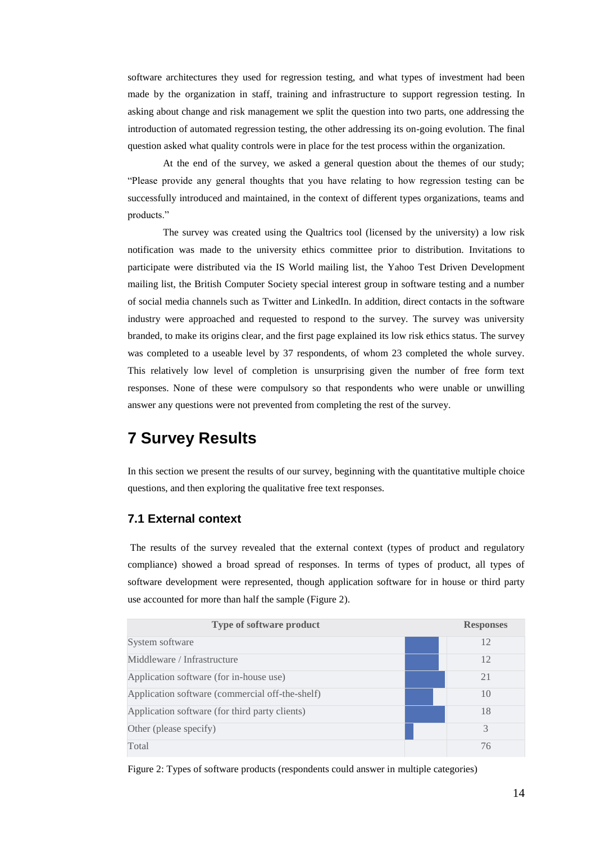software architectures they used for regression testing, and what types of investment had been made by the organization in staff, training and infrastructure to support regression testing. In asking about change and risk management we split the question into two parts, one addressing the introduction of automated regression testing, the other addressing its on-going evolution. The final question asked what quality controls were in place for the test process within the organization.

At the end of the survey, we asked a general question about the themes of our study; "Please provide any general thoughts that you have relating to how regression testing can be successfully introduced and maintained, in the context of different types organizations, teams and products."

The survey was created using the Qualtrics tool (licensed by the university) a low risk notification was made to the university ethics committee prior to distribution. Invitations to participate were distributed via the IS World mailing list, the Yahoo Test Driven Development mailing list, the British Computer Society special interest group in software testing and a number of social media channels such as Twitter and LinkedIn. In addition, direct contacts in the software industry were approached and requested to respond to the survey. The survey was university branded, to make its origins clear, and the first page explained its low risk ethics status. The survey was completed to a useable level by 37 respondents, of whom 23 completed the whole survey. This relatively low level of completion is unsurprising given the number of free form text responses. None of these were compulsory so that respondents who were unable or unwilling answer any questions were not prevented from completing the rest of the survey.

### **7 Survey Results**

In this section we present the results of our survey, beginning with the quantitative multiple choice questions, and then exploring the qualitative free text responses.

### **7.1 External context**

The results of the survey revealed that the external context (types of product and regulatory compliance) showed a broad spread of responses. In terms of types of product, all types of software development were represented, though application software for in house or third party use accounted for more than half the sample (Figure 2).

| Type of software product                        | <b>Responses</b> |
|-------------------------------------------------|------------------|
| System software                                 | 12               |
| Middleware / Infrastructure                     | 12               |
| Application software (for in-house use)         | 21               |
| Application software (commercial off-the-shelf) | 10               |
| Application software (for third party clients)  | 18               |
| Other (please specify)                          | 3                |
| Total                                           | 76               |

Figure 2: Types of software products (respondents could answer in multiple categories)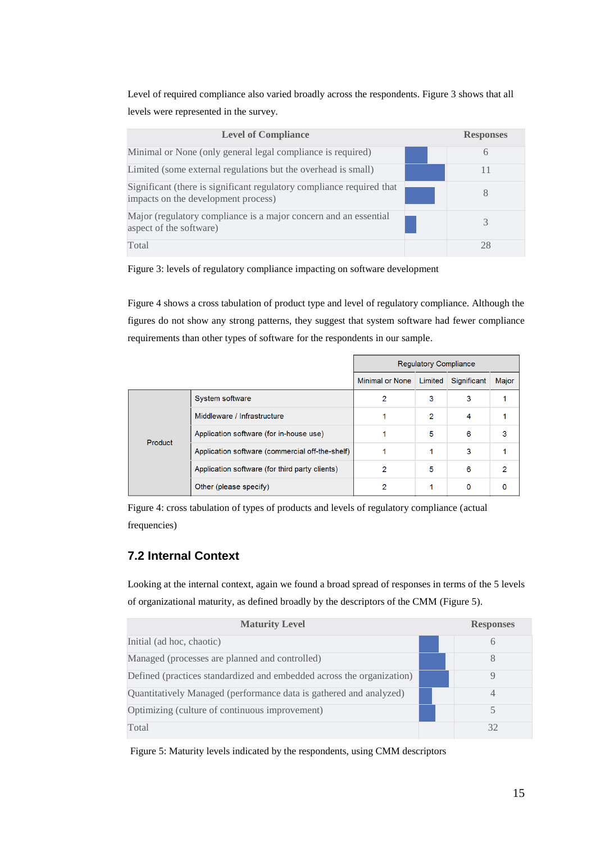Level of required compliance also varied broadly across the respondents. Figure 3 shows that all levels were represented in the survey.

| <b>Level of Compliance</b>                                                                                   | <b>Responses</b> |
|--------------------------------------------------------------------------------------------------------------|------------------|
| Minimal or None (only general legal compliance is required)                                                  | 6                |
| Limited (some external regulations but the overhead is small)                                                | 11               |
| Significant (there is significant regulatory compliance required that<br>impacts on the development process) | 8                |
| Major (regulatory compliance is a major concern and an essential<br>aspect of the software)                  |                  |
| Total                                                                                                        | 28               |

Figure 3: levels of regulatory compliance impacting on software development

Figure 4 shows a cross tabulation of product type and level of regulatory compliance. Although the figures do not show any strong patterns, they suggest that system software had fewer compliance requirements than other types of software for the respondents in our sample.

|         |                                                 | <b>Regulatory Compliance</b> |                |                  |       |
|---------|-------------------------------------------------|------------------------------|----------------|------------------|-------|
|         |                                                 | <b>Minimal or None</b>       | Limited        | Significant      | Major |
|         | System software                                 | 2                            | 3              | 3                |       |
| Product | Middleware / Infrastructure                     |                              | $\overline{2}$ | $\boldsymbol{A}$ |       |
|         | Application software (for in-house use)         |                              | 5              | 6                | 3     |
|         | Application software (commercial off-the-shelf) |                              |                | 3                |       |
|         | Application software (for third party clients)  | 2                            | 5              | 6                | 2     |
|         | Other (please specify)                          | 2                            |                | $\Omega$         | 0     |

Figure 4: cross tabulation of types of products and levels of regulatory compliance (actual frequencies)

### **7.2 Internal Context**

Looking at the internal context, again we found a broad spread of responses in terms of the 5 levels of organizational maturity, as defined broadly by the descriptors of the CMM (Figure 5).

| <b>Maturity Level</b>                                                 | <b>Responses</b> |
|-----------------------------------------------------------------------|------------------|
| Initial (ad hoc, chaotic)                                             | 6                |
| Managed (processes are planned and controlled)                        | 8                |
| Defined (practices standardized and embedded across the organization) | Q                |
| Quantitatively Managed (performance data is gathered and analyzed)    | $\overline{4}$   |
| Optimizing (culture of continuous improvement)                        | 5                |
| Total                                                                 | 32               |

Figure 5: Maturity levels indicated by the respondents, using CMM descriptors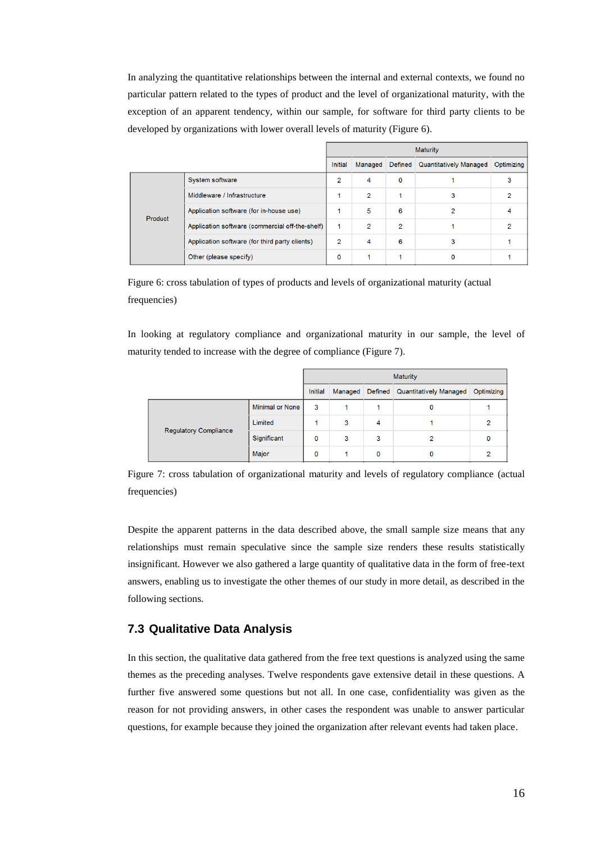In analyzing the quantitative relationships between the internal and external contexts, we found no particular pattern related to the types of product and the level of organizational maturity, with the exception of an apparent tendency, within our sample, for software for third party clients to be developed by organizations with lower overall levels of maturity (Figure 6).

|         |                                                 | <b>Maturity</b> |                |                |                                  |            |
|---------|-------------------------------------------------|-----------------|----------------|----------------|----------------------------------|------------|
|         |                                                 | Initial         | Managed        |                | Defined   Quantitatively Managed | Optimizing |
|         | System software                                 | $\overline{2}$  | 4              | $\mathbf 0$    |                                  |            |
| Product | Middleware / Infrastructure                     |                 | 2              |                | 3                                |            |
|         | Application software (for in-house use)         |                 | 5              | 6              | 2                                |            |
|         | Application software (commercial off-the-shelf) |                 | $\overline{2}$ | $\overline{2}$ |                                  |            |
|         | Application software (for third party clients)  | 2               | 4              | 6              |                                  |            |
|         | Other (please specify)                          | 0               |                |                |                                  |            |

Figure 6: cross tabulation of types of products and levels of organizational maturity (actual frequencies)

In looking at regulatory compliance and organizational maturity in our sample, the level of maturity tended to increase with the degree of compliance (Figure 7).

|                              |                        | <b>Maturity</b> |   |   |                                        |            |
|------------------------------|------------------------|-----------------|---|---|----------------------------------------|------------|
|                              |                        | Initial         |   |   | Managed Defined Quantitatively Managed | Optimizing |
| <b>Regulatory Compliance</b> | <b>Minimal or None</b> | 3               |   |   |                                        |            |
|                              | Limited                |                 | 3 | 4 |                                        |            |
|                              | Significant            | 0               | 3 | 3 | ≘                                      |            |
|                              | Major                  | 0               |   | ٥ |                                        |            |

Figure 7: cross tabulation of organizational maturity and levels of regulatory compliance (actual frequencies)

Despite the apparent patterns in the data described above, the small sample size means that any relationships must remain speculative since the sample size renders these results statistically insignificant. However we also gathered a large quantity of qualitative data in the form of free-text answers, enabling us to investigate the other themes of our study in more detail, as described in the following sections.

### **7.3 Qualitative Data Analysis**

In this section, the qualitative data gathered from the free text questions is analyzed using the same themes as the preceding analyses. Twelve respondents gave extensive detail in these questions. A further five answered some questions but not all. In one case, confidentiality was given as the reason for not providing answers, in other cases the respondent was unable to answer particular questions, for example because they joined the organization after relevant events had taken place.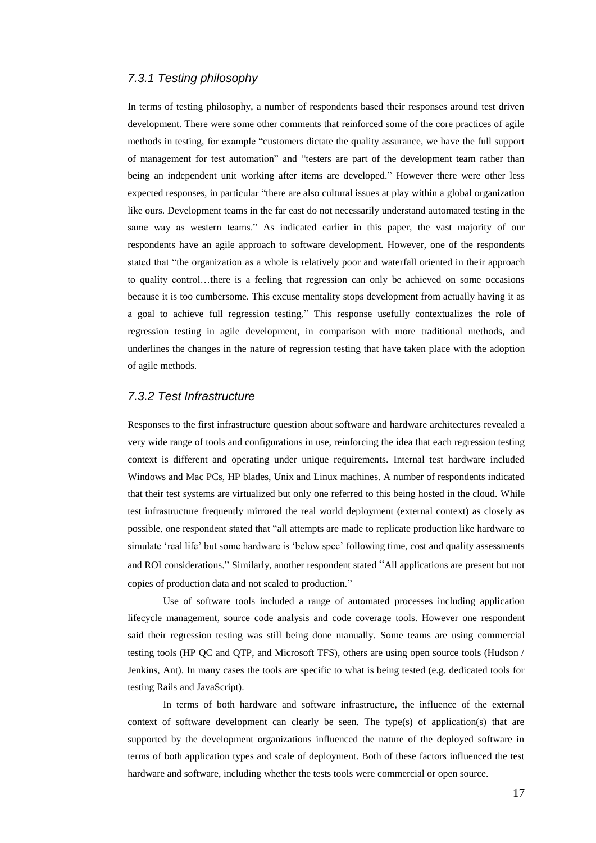#### *7.3.1 Testing philosophy*

In terms of testing philosophy, a number of respondents based their responses around test driven development. There were some other comments that reinforced some of the core practices of agile methods in testing, for example "customers dictate the quality assurance, we have the full support of management for test automation" and "testers are part of the development team rather than being an independent unit working after items are developed." However there were other less expected responses, in particular "there are also cultural issues at play within a global organization like ours. Development teams in the far east do not necessarily understand automated testing in the same way as western teams." As indicated earlier in this paper, the vast majority of our respondents have an agile approach to software development. However, one of the respondents stated that "the organization as a whole is relatively poor and waterfall oriented in their approach to quality control…there is a feeling that regression can only be achieved on some occasions because it is too cumbersome. This excuse mentality stops development from actually having it as a goal to achieve full regression testing." This response usefully contextualizes the role of regression testing in agile development, in comparison with more traditional methods, and underlines the changes in the nature of regression testing that have taken place with the adoption of agile methods.

#### *7.3.2 Test Infrastructure*

Responses to the first infrastructure question about software and hardware architectures revealed a very wide range of tools and configurations in use, reinforcing the idea that each regression testing context is different and operating under unique requirements. Internal test hardware included Windows and Mac PCs, HP blades, Unix and Linux machines. A number of respondents indicated that their test systems are virtualized but only one referred to this being hosted in the cloud. While test infrastructure frequently mirrored the real world deployment (external context) as closely as possible, one respondent stated that "all attempts are made to replicate production like hardware to simulate 'real life' but some hardware is 'below spec' following time, cost and quality assessments and ROI considerations." Similarly, another respondent stated "All applications are present but not copies of production data and not scaled to production."

Use of software tools included a range of automated processes including application lifecycle management, source code analysis and code coverage tools. However one respondent said their regression testing was still being done manually. Some teams are using commercial testing tools (HP QC and QTP, and Microsoft TFS), others are using open source tools (Hudson / Jenkins, Ant). In many cases the tools are specific to what is being tested (e.g. dedicated tools for testing Rails and JavaScript).

In terms of both hardware and software infrastructure, the influence of the external context of software development can clearly be seen. The type(s) of application(s) that are supported by the development organizations influenced the nature of the deployed software in terms of both application types and scale of deployment. Both of these factors influenced the test hardware and software, including whether the tests tools were commercial or open source.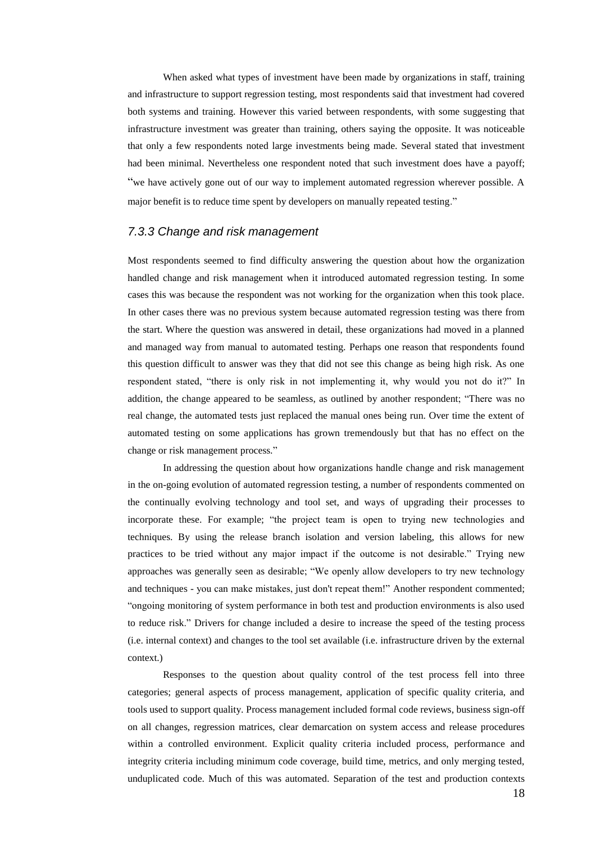When asked what types of investment have been made by organizations in staff, training and infrastructure to support regression testing, most respondents said that investment had covered both systems and training. However this varied between respondents, with some suggesting that infrastructure investment was greater than training, others saying the opposite. It was noticeable that only a few respondents noted large investments being made. Several stated that investment had been minimal. Nevertheless one respondent noted that such investment does have a payoff; "we have actively gone out of our way to implement automated regression wherever possible. A major benefit is to reduce time spent by developers on manually repeated testing."

#### *7.3.3 Change and risk management*

Most respondents seemed to find difficulty answering the question about how the organization handled change and risk management when it introduced automated regression testing. In some cases this was because the respondent was not working for the organization when this took place. In other cases there was no previous system because automated regression testing was there from the start. Where the question was answered in detail, these organizations had moved in a planned and managed way from manual to automated testing. Perhaps one reason that respondents found this question difficult to answer was they that did not see this change as being high risk. As one respondent stated, "there is only risk in not implementing it, why would you not do it?" In addition, the change appeared to be seamless, as outlined by another respondent; "There was no real change, the automated tests just replaced the manual ones being run. Over time the extent of automated testing on some applications has grown tremendously but that has no effect on the change or risk management process."

In addressing the question about how organizations handle change and risk management in the on-going evolution of automated regression testing, a number of respondents commented on the continually evolving technology and tool set, and ways of upgrading their processes to incorporate these. For example; "the project team is open to trying new technologies and techniques. By using the release branch isolation and version labeling, this allows for new practices to be tried without any major impact if the outcome is not desirable." Trying new approaches was generally seen as desirable; "We openly allow developers to try new technology and techniques - you can make mistakes, just don't repeat them!" Another respondent commented; "ongoing monitoring of system performance in both test and production environments is also used to reduce risk." Drivers for change included a desire to increase the speed of the testing process (i.e. internal context) and changes to the tool set available (i.e. infrastructure driven by the external context.)

Responses to the question about quality control of the test process fell into three categories; general aspects of process management, application of specific quality criteria, and tools used to support quality. Process management included formal code reviews, business sign-off on all changes, regression matrices, clear demarcation on system access and release procedures within a controlled environment. Explicit quality criteria included process, performance and integrity criteria including minimum code coverage, build time, metrics, and only merging tested, unduplicated code. Much of this was automated. Separation of the test and production contexts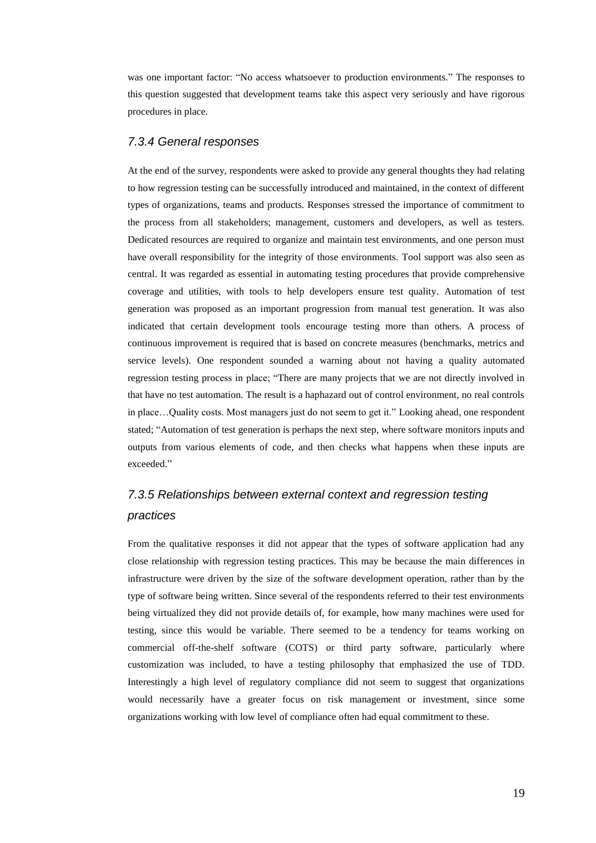was one important factor: "No access whatsoever to production environments." The responses to this question suggested that development teams take this aspect very seriously and have rigorous procedures in place.

#### *7.3.4 General responses*

At the end of the survey, respondents were asked to provide any general thoughts they had relating to how regression testing can be successfully introduced and maintained, in the context of different types of organizations, teams and products. Responses stressed the importance of commitment to the process from all stakeholders; management, customers and developers, as well as testers. Dedicated resources are required to organize and maintain test environments, and one person must have overall responsibility for the integrity of those environments. Tool support was also seen as central. It was regarded as essential in automating testing procedures that provide comprehensive coverage and utilities, with tools to help developers ensure test quality. Automation of test generation was proposed as an important progression from manual test generation. It was also indicated that certain development tools encourage testing more than others. A process of continuous improvement is required that is based on concrete measures (benchmarks, metrics and service levels). One respondent sounded a warning about not having a quality automated regression testing process in place; "There are many projects that we are not directly involved in that have no test automation. The result is a haphazard out of control environment, no real controls in place…Quality costs. Most managers just do not seem to get it." Looking ahead, one respondent stated; "Automation of test generation is perhaps the next step, where software monitors inputs and outputs from various elements of code, and then checks what happens when these inputs are exceeded."

### *7.3.5 Relationships between external context and regression testing practices*

From the qualitative responses it did not appear that the types of software application had any close relationship with regression testing practices. This may be because the main differences in infrastructure were driven by the size of the software development operation, rather than by the type of software being written. Since several of the respondents referred to their test environments being virtualized they did not provide details of, for example, how many machines were used for testing, since this would be variable. There seemed to be a tendency for teams working on commercial off-the-shelf software (COTS) or third party software, particularly where customization was included, to have a testing philosophy that emphasized the use of TDD. Interestingly a high level of regulatory compliance did not seem to suggest that organizations would necessarily have a greater focus on risk management or investment, since some organizations working with low level of compliance often had equal commitment to these.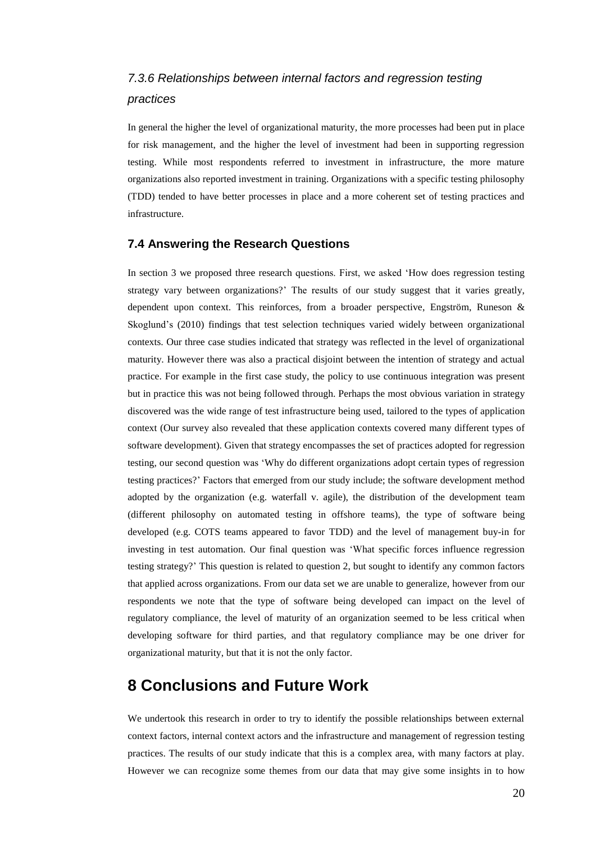### *7.3.6 Relationships between internal factors and regression testing practices*

In general the higher the level of organizational maturity, the more processes had been put in place for risk management, and the higher the level of investment had been in supporting regression testing. While most respondents referred to investment in infrastructure, the more mature organizations also reported investment in training. Organizations with a specific testing philosophy (TDD) tended to have better processes in place and a more coherent set of testing practices and infrastructure.

#### **7.4 Answering the Research Questions**

In section 3 we proposed three research questions. First, we asked 'How does regression testing strategy vary between organizations?' The results of our study suggest that it varies greatly, dependent upon context. This reinforces, from a broader perspective, Engström, Runeson & Skoglund's (2010) findings that test selection techniques varied widely between organizational contexts. Our three case studies indicated that strategy was reflected in the level of organizational maturity. However there was also a practical disjoint between the intention of strategy and actual practice. For example in the first case study, the policy to use continuous integration was present but in practice this was not being followed through. Perhaps the most obvious variation in strategy discovered was the wide range of test infrastructure being used, tailored to the types of application context (Our survey also revealed that these application contexts covered many different types of software development). Given that strategy encompasses the set of practices adopted for regression testing, our second question was 'Why do different organizations adopt certain types of regression testing practices?' Factors that emerged from our study include; the software development method adopted by the organization (e.g. waterfall v. agile), the distribution of the development team (different philosophy on automated testing in offshore teams), the type of software being developed (e.g. COTS teams appeared to favor TDD) and the level of management buy-in for investing in test automation. Our final question was 'What specific forces influence regression testing strategy?' This question is related to question 2, but sought to identify any common factors that applied across organizations. From our data set we are unable to generalize, however from our respondents we note that the type of software being developed can impact on the level of regulatory compliance, the level of maturity of an organization seemed to be less critical when developing software for third parties, and that regulatory compliance may be one driver for organizational maturity, but that it is not the only factor.

### **8 Conclusions and Future Work**

We undertook this research in order to try to identify the possible relationships between external context factors, internal context actors and the infrastructure and management of regression testing practices. The results of our study indicate that this is a complex area, with many factors at play. However we can recognize some themes from our data that may give some insights in to how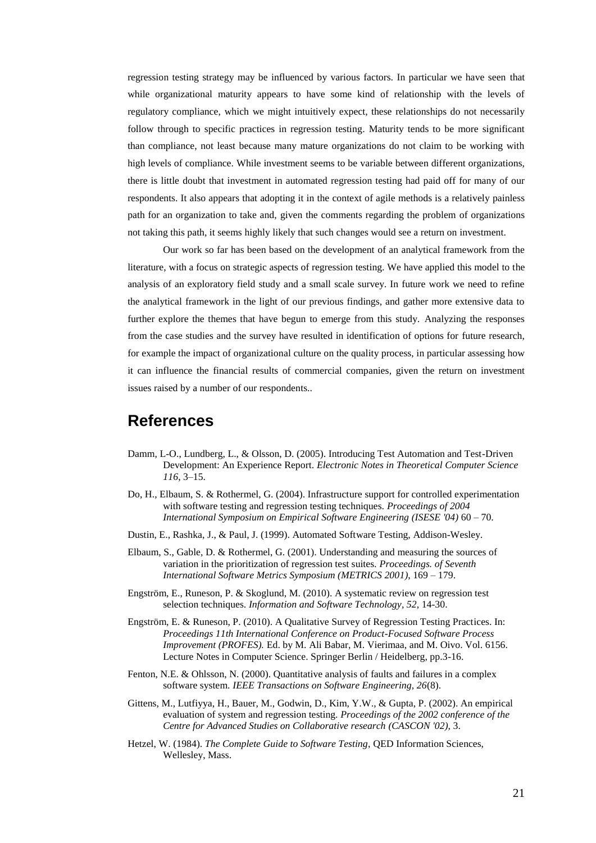regression testing strategy may be influenced by various factors. In particular we have seen that while organizational maturity appears to have some kind of relationship with the levels of regulatory compliance, which we might intuitively expect, these relationships do not necessarily follow through to specific practices in regression testing. Maturity tends to be more significant than compliance, not least because many mature organizations do not claim to be working with high levels of compliance. While investment seems to be variable between different organizations, there is little doubt that investment in automated regression testing had paid off for many of our respondents. It also appears that adopting it in the context of agile methods is a relatively painless path for an organization to take and, given the comments regarding the problem of organizations not taking this path, it seems highly likely that such changes would see a return on investment.

Our work so far has been based on the development of an analytical framework from the literature, with a focus on strategic aspects of regression testing. We have applied this model to the analysis of an exploratory field study and a small scale survey. In future work we need to refine the analytical framework in the light of our previous findings, and gather more extensive data to further explore the themes that have begun to emerge from this study. Analyzing the responses from the case studies and the survey have resulted in identification of options for future research, for example the impact of organizational culture on the quality process, in particular assessing how it can influence the financial results of commercial companies, given the return on investment issues raised by a number of our respondents..

### **References**

- Damm, L-O., Lundberg, L., & Olsson, D. (2005). Introducing Test Automation and Test-Driven Development: An Experience Report. *Electronic Notes in Theoretical Computer Science 116*, 3–15.
- Do, H., Elbaum, S. & Rothermel, G. (2004). Infrastructure support for controlled experimentation with software testing and regression testing techniques. *Proceedings of 2004 International Symposium on Empirical Software Engineering (ISESE '04)* 60 – 70.
- Dustin, E., Rashka, J., & Paul, J. (1999). Automated Software Testing, Addison-Wesley.
- Elbaum, S., Gable, D. & Rothermel, G. (2001). Understanding and measuring the sources of variation in the prioritization of regression test suites. *Proceedings. of Seventh International Software Metrics Symposium (METRICS 2001)*, 169 – 179.
- Engström, E., Runeson, P. & Skoglund, M. (2010). A systematic review on regression test selection techniques. *Information and Software Technology, 52*, 14-30.
- Engström, E. & Runeson, P. (2010). A Qualitative Survey of Regression Testing Practices. In: *Proceedings 11th International Conference on Product-Focused Software Process Improvement (PROFES).* Ed. by M. Ali Babar, M. Vierimaa, and M. Oivo. Vol. 6156. Lecture Notes in Computer Science. Springer Berlin / Heidelberg, pp.3-16.
- Fenton, N.E. & Ohlsson, N. (2000). Quantitative analysis of faults and failures in a complex software system. *IEEE Transactions on Software Engineering, 26*(8).
- Gittens, M., Lutfiyya, H., Bauer, M., Godwin, D., Kim, Y.W., & Gupta, P. (2002). An empirical evaluation of system and regression testing. *Proceedings of the 2002 conference of the Centre for Advanced Studies on Collaborative research (CASCON '02),* 3.
- Hetzel, W. (1984). *The Complete Guide to Software Testing*, QED Information Sciences, Wellesley, Mass.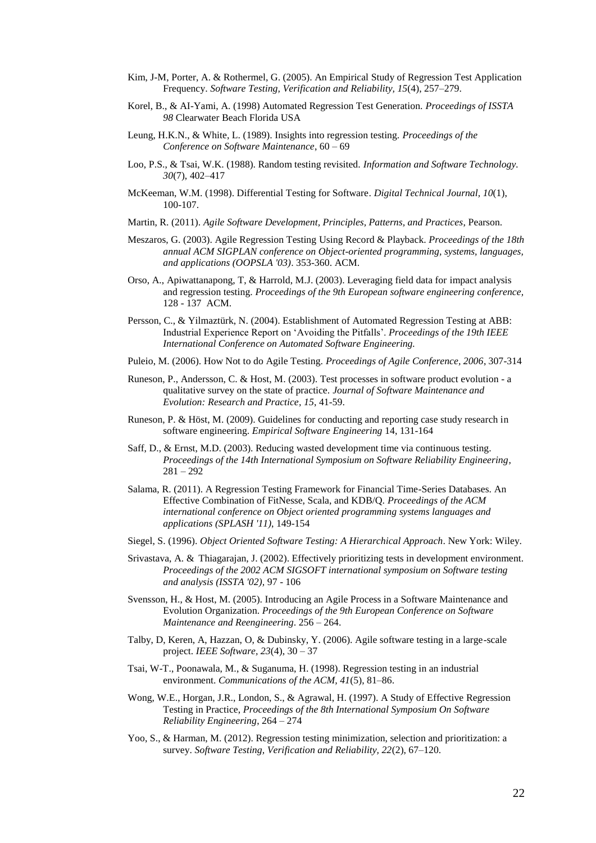- Kim, J-M, Porter, A. & Rothermel, G. (2005). An Empirical Study of Regression Test Application Frequency. *Software Testing, Verification and Reliability, 15*(4), 257–279.
- Korel, B., & AI-Yami, A. (1998) Automated Regression Test Generation. *Proceedings of ISSTA 98* Clearwater Beach Florida USA
- Leung, H.K.N., & White, L. (1989). Insights into regression testing. *Proceedings of the Conference on Software Maintenance*, 60 – 69
- Loo, P.S., & Tsai, W.K. (1988). Random testing revisited. *Information and Software Technology. 30*(7), 402–417
- McKeeman, W.M. (1998). Differential Testing for Software. *Digital Technical Journal, 10*(1), 100-107.
- Martin, R. (2011). *Agile Software Development, Principles, Patterns, and Practices*, Pearson.
- Meszaros, G. (2003). Agile Regression Testing Using Record & Playback. *Proceedings of the 18th annual ACM SIGPLAN conference on Object-oriented programming, systems, languages, and applications (OOPSLA '03)*. 353-360. ACM.
- Orso, A., Apiwattanapong, T, & Harrold, M.J. (2003). Leveraging field data for impact analysis and regression testing. *Proceedings of the 9th European software engineering conference,* 128 - 137 ACM.
- Persson, C., & Yilmaztürk, N. (2004). Establishment of Automated Regression Testing at ABB: Industrial Experience Report on 'Avoiding the Pitfalls'. *Proceedings of the 19th IEEE International Conference on Automated Software Engineering.*
- Puleio, M. (2006). How Not to do Agile Testing. *Proceedings of Agile Conference, 2006*, 307-314
- Runeson, P., Andersson, C. & Host, M. (2003). Test processes in software product evolution a qualitative survey on the state of practice. *Journal of Software Maintenance and Evolution: Research and Practice, 15*, 41-59.
- Runeson, P. & Höst, M. (2009). Guidelines for conducting and reporting case study research in software engineering. *Empirical Software Engineering* 14, 131-164
- Saff, D., & Ernst, M.D. (2003). Reducing wasted development time via continuous testing. *Proceedings of the 14th International Symposium on Software Reliability Engineering*, 281 – 292
- Salama, R. (2011). A Regression Testing Framework for Financial Time-Series Databases. An Effective Combination of FitNesse, Scala, and KDB/Q. *Proceedings of the ACM international conference on Object oriented programming systems languages and applications (SPLASH '11)*, 149-154
- Siegel, S. (1996). *Object Oriented Software Testing: A Hierarchical Approach*. New York: Wiley.
- Srivastava, A. & Thiagarajan, J. (2002). Effectively prioritizing tests in development environment. *Proceedings of the 2002 ACM SIGSOFT international symposium on Software testing and analysis (ISSTA '02),* 97 - 106
- Svensson, H., & Host, M. (2005). Introducing an Agile Process in a Software Maintenance and Evolution Organization. *Proceedings of the 9th European Conference on Software Maintenance and Reengineering*. 256 – 264.
- Talby, D, Keren, A, Hazzan, O, & Dubinsky, Y. (2006). Agile software testing in a large-scale project. *IEEE Software, 23*(4), 30 – 37
- Tsai, W-T., Poonawala, M., & Suganuma, H. (1998). Regression testing in an industrial environment. *Communications of the ACM, 41*(5), 81–86.
- Wong, W.E., Horgan, J.R., London, S., & Agrawal, H. (1997). A Study of Effective Regression Testing in Practice, *Proceedings of the 8th International Symposium On Software Reliability Engineering*, 264 – 274
- Yoo, S., & Harman, M. (2012). Regression testing minimization, selection and prioritization: a survey. *Software Testing, Verification and Reliability, 22*(2), 67–120.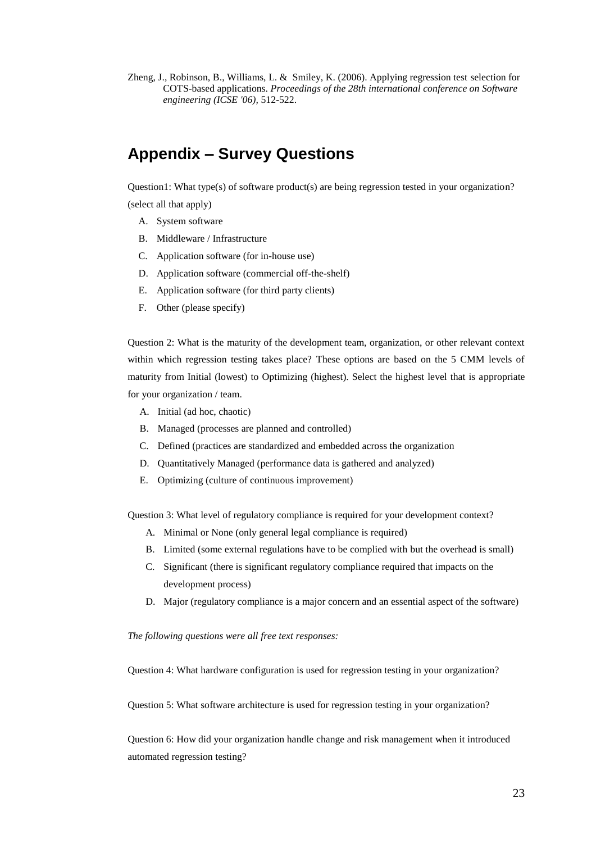Zheng, J., Robinson, B., Williams, L. & Smiley, K. (2006). Applying regression test selection for COTS-based applications. *Proceedings of the 28th international conference on Software engineering (ICSE '06),* 512-522.

## **Appendix – Survey Questions**

Question1: What type(s) of software product(s) are being regression tested in your organization? (select all that apply)

- A. System software
- B. Middleware / Infrastructure
- C. Application software (for in-house use)
- D. Application software (commercial off-the-shelf)
- E. Application software (for third party clients)
- F. Other (please specify)

Question 2: What is the maturity of the development team, organization, or other relevant context within which regression testing takes place? These options are based on the 5 CMM levels of maturity from Initial (lowest) to Optimizing (highest). Select the highest level that is appropriate for your organization / team.

- A. Initial (ad hoc, chaotic)
- B. Managed (processes are planned and controlled)
- C. Defined (practices are standardized and embedded across the organization
- D. Quantitatively Managed (performance data is gathered and analyzed)
- E. Optimizing (culture of continuous improvement)

Question 3: What level of regulatory compliance is required for your development context?

- A. Minimal or None (only general legal compliance is required)
- B. Limited (some external regulations have to be complied with but the overhead is small)
- C. Significant (there is significant regulatory compliance required that impacts on the development process)
- D. Major (regulatory compliance is a major concern and an essential aspect of the software)

*The following questions were all free text responses:*

Question 4: What hardware configuration is used for regression testing in your organization?

Question 5: What software architecture is used for regression testing in your organization?

Question 6: How did your organization handle change and risk management when it introduced automated regression testing?